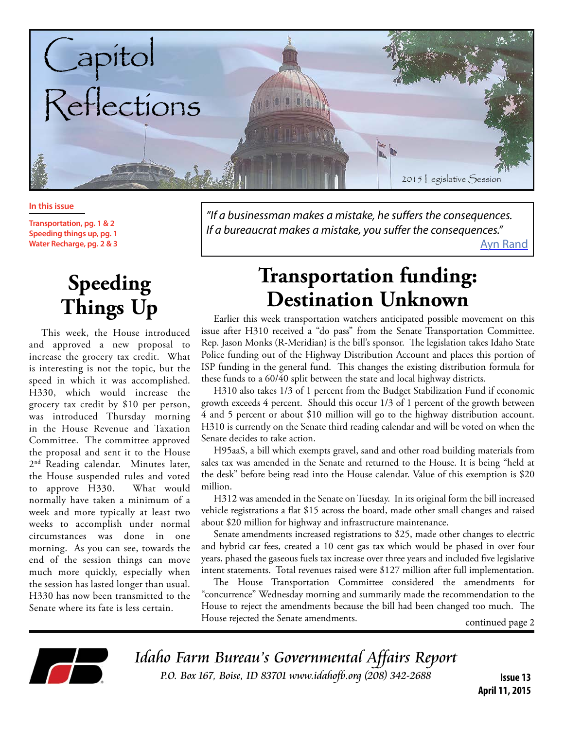

#### **In this issue**

**Transportation, pg. 1 & 2 Speeding things up, pg. 1 Water Recharge, pg. 2 & 3**

# **Speeding Things Up**

This week, the House introduced and approved a new proposal to increase the grocery tax credit. What is interesting is not the topic, but the speed in which it was accomplished. H330, which would increase the grocery tax credit by \$10 per person, was introduced Thursday morning in the House Revenue and Taxation Committee. The committee approved the proposal and sent it to the House 2<sup>nd</sup> Reading calendar. Minutes later, the House suspended rules and voted to approve H330. What would normally have taken a minimum of a week and more typically at least two weeks to accomplish under normal circumstances was done in one morning. As you can see, towards the end of the session things can move much more quickly, especially when the session has lasted longer than usual. H330 has now been transmitted to the Senate where its fate is less certain.

*"If a businessman makes a mistake, he suffers the consequences. If a bureaucrat makes a mistake, you suffer the consequences."* [Ayn Rand](https://www.facebook.com/AtlasShruggedMovie/photos/a.145967185415114.29212.144777702200729/935180659827092/?type=1)

## **Transportation funding: Destination Unknown**

Earlier this week transportation watchers anticipated possible movement on this issue after H310 received a "do pass" from the Senate Transportation Committee. Rep. Jason Monks (R-Meridian) is the bill's sponsor. The legislation takes Idaho State Police funding out of the Highway Distribution Account and places this portion of ISP funding in the general fund. This changes the existing distribution formula for these funds to a 60/40 split between the state and local highway districts.

H310 also takes 1/3 of 1 percent from the Budget Stabilization Fund if economic growth exceeds 4 percent. Should this occur 1/3 of 1 percent of the growth between 4 and 5 percent or about \$10 million will go to the highway distribution account. H310 is currently on the Senate third reading calendar and will be voted on when the Senate decides to take action.

H95aaS, a bill which exempts gravel, sand and other road building materials from sales tax was amended in the Senate and returned to the House. It is being "held at the desk" before being read into the House calendar. Value of this exemption is \$20 million.

H312 was amended in the Senate on Tuesday. In its original form the bill increased vehicle registrations a flat \$15 across the board, made other small changes and raised about \$20 million for highway and infrastructure maintenance.

Senate amendments increased registrations to \$25, made other changes to electric and hybrid car fees, created a 10 cent gas tax which would be phased in over four years, phased the gaseous fuels tax increase over three years and included five legislative intent statements. Total revenues raised were \$127 million after full implementation.

The House Transportation Committee considered the amendments for "concurrence" Wednesday morning and summarily made the recommendation to the House to reject the amendments because the bill had been changed too much. The House rejected the Senate amendments. continued page 2

Idaho Farm Bureau's Governmental Affairs Report P.O. Box 167, Boise, ID 83701 www.idahofb.org (208) 342-2688 **Issue 13**

**April 11, 2015**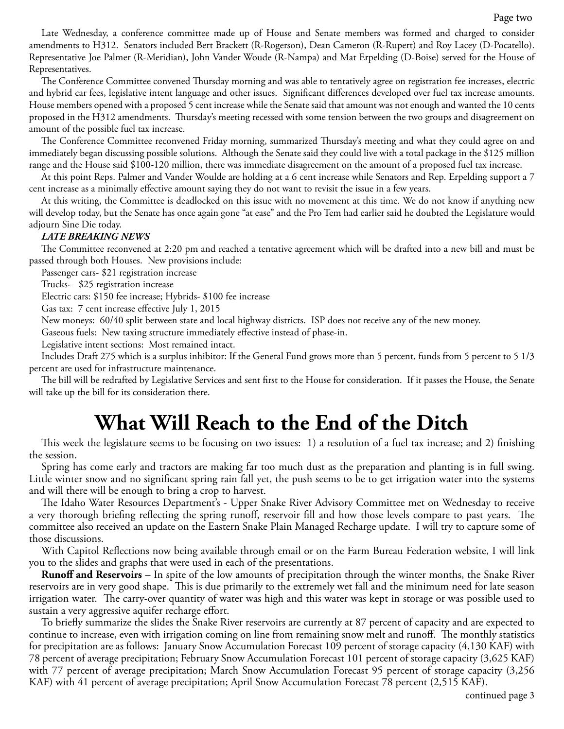Late Wednesday, a conference committee made up of House and Senate members was formed and charged to consider amendments to H312. Senators included Bert Brackett (R-Rogerson), Dean Cameron (R-Rupert) and Roy Lacey (D-Pocatello). Representative Joe Palmer (R-Meridian), John Vander Woude (R-Nampa) and Mat Erpelding (D-Boise) served for the House of Representatives.

The Conference Committee convened Thursday morning and was able to tentatively agree on registration fee increases, electric and hybrid car fees, legislative intent language and other issues. Significant differences developed over fuel tax increase amounts. House members opened with a proposed 5 cent increase while the Senate said that amount was not enough and wanted the 10 cents proposed in the H312 amendments. Thursday's meeting recessed with some tension between the two groups and disagreement on amount of the possible fuel tax increase.

The Conference Committee reconvened Friday morning, summarized Thursday's meeting and what they could agree on and immediately began discussing possible solutions. Although the Senate said they could live with a total package in the \$125 million range and the House said \$100-120 million, there was immediate disagreement on the amount of a proposed fuel tax increase.

At this point Reps. Palmer and Vander Woulde are holding at a 6 cent increase while Senators and Rep. Erpelding support a 7 cent increase as a minimally effective amount saying they do not want to revisit the issue in a few years.

At this writing, the Committee is deadlocked on this issue with no movement at this time. We do not know if anything new will develop today, but the Senate has once again gone "at ease" and the Pro Tem had earlier said he doubted the Legislature would adjourn Sine Die today.

#### *LATE BREAKING NEWS*

The Committee reconvened at 2:20 pm and reached a tentative agreement which will be drafted into a new bill and must be passed through both Houses. New provisions include:

Passenger cars- \$21 registration increase

Trucks- \$25 registration increase

Electric cars: \$150 fee increase; Hybrids- \$100 fee increase

Gas tax: 7 cent increase effective July 1, 2015

New moneys: 60/40 split between state and local highway districts. ISP does not receive any of the new money.

Gaseous fuels: New taxing structure immediately effective instead of phase-in.

Legislative intent sections: Most remained intact.

Includes Draft 275 which is a surplus inhibitor: If the General Fund grows more than 5 percent, funds from 5 percent to 5 1/3 percent are used for infrastructure maintenance.

The bill will be redrafted by Legislative Services and sent first to the House for consideration. If it passes the House, the Senate will take up the bill for its consideration there.

## **What Will Reach to the End of the Ditch**

This week the legislature seems to be focusing on two issues: 1) a resolution of a fuel tax increase; and 2) finishing the session.

Spring has come early and tractors are making far too much dust as the preparation and planting is in full swing. Little winter snow and no significant spring rain fall yet, the push seems to be to get irrigation water into the systems and will there will be enough to bring a crop to harvest.

The Idaho Water Resources Department's - Upper Snake River Advisory Committee met on Wednesday to receive a very thorough briefing reflecting the spring runoff, reservoir fill and how those levels compare to past years. The committee also received an update on the Eastern Snake Plain Managed Recharge update. I will try to capture some of those discussions.

With Capitol Reflections now being available through email or on the Farm Bureau Federation website, I will link you to the slides and graphs that were used in each of the presentations.

**Runoff and Reservoirs** – In spite of the low amounts of precipitation through the winter months, the Snake River reservoirs are in very good shape. This is due primarily to the extremely wet fall and the minimum need for late season irrigation water. The carry-over quantity of water was high and this water was kept in storage or was possible used to sustain a very aggressive aquifer recharge effort.

To briefly summarize the slides the Snake River reservoirs are currently at 87 percent of capacity and are expected to continue to increase, even with irrigation coming on line from remaining snow melt and runoff. The monthly statistics for precipitation are as follows: January Snow Accumulation Forecast 109 percent of storage capacity (4,130 KAF) with 78 percent of average precipitation; February Snow Accumulation Forecast 101 percent of storage capacity (3,625 KAF) with 77 percent of average precipitation; March Snow Accumulation Forecast 95 percent of storage capacity (3,256 KAF) with 41 percent of average precipitation; April Snow Accumulation Forecast 78 percent (2,515 KAF).